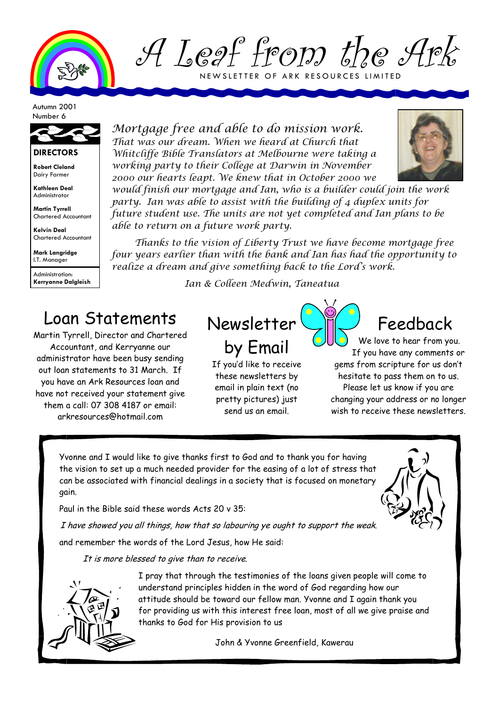

A Leaf from the Ark NEWSLETTER OF ARK RESOURCES LIMITED

Autumn 2001 Number 6



## **DIRECTORS**

**Robert Cleland**  Dairy Farmer

**Kathleen Deal**  Administrator

**Martin Tyrrell**  Chartered Accountant

**Kelvin Deal**  Chartered Accountant

**Mark Langridge**  I.T. Manager

Administration: **Kerryanne Dalgleish**  Mortgage free and able to do mission work. That was our dream. When we heard at Church that Whitcliffe Bible Translators at Melbourne were taking a working party to their College at Darwin in November 2000 our hearts leapt. We knew that in October 2000 we



would finish our mortgage and Ian, who is a builder could join the work party. Ian was able to assist with the building of 4 duplex units for future student use. The units are not yet completed and Ian plans to be able to return on a future work party.

Thanks to the vision of Liberty Trust we have become mortgage free four years earlier than with the bank and Ian has had the opportunity to realize a dream and give something back to the Lord's work.

Ian & Colleen Medwin, Taneatua

## Loan Statements

Martin Tyrrell, Director and Chartered Accountant, and Kerryanne our administrator have been busy sending out loan statements to 31 March. If you have an Ark Resources loan and have not received your statement give them a call: 07 308 4187 or email: arkresources@hotmail.com

Newsletter by Email

If you'd like to receive these newsletters by email in plain text (no pretty pictures) just send us an email.

Feedback

We love to hear from you. If you have any comments or gems from scripture for us don't hesitate to pass them on to us. Please let us know if you are changing your address or no longer wish to receive these newsletters.

Yvonne and I would like to give thanks first to God and to thank you for having the vision to set up a much needed provider for the easing of a lot of stress that can be associated with financial dealings in a society that is focused on monetary gain.

Paul in the Bible said these words Acts 20 v 35:

I have showed you all things, how that so labouring ye ought to support the weak.

and remember the words of the Lord Jesus, how He said:

It is more blessed to give than to receive.



I pray that through the testimonies of the loans given people will come to understand principles hidden in the word of God regarding how our attitude should be toward our fellow man. Yvonne and I again thank you for providing us with this interest free loan, most of all we give praise and thanks to God for His provision to us

John & Yvonne Greenfield, Kawerau